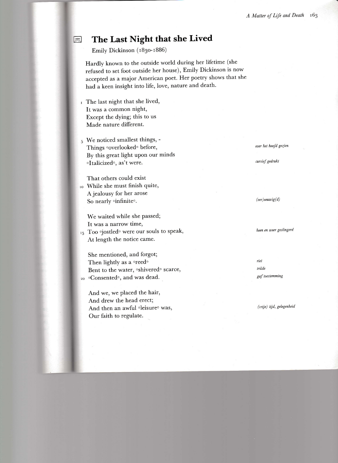# The Last Night that she Lived

Emily Dickinson (1830-1886)

Hardly known to the outside world during her lifetime (she refused to set foot outside her house), Emily Dickinson is now accepted as a major American poet. Her poetry shows that she had a keen insight into life, love, nature and death.

- I The last night that she lived, It was a common night, Except the dying; this to us Made nature different.
- 5 We noticed smallest things, -Things overlookedo before, By this great light upon our minds oltalicizedo, as't were.

That others could exist While she must finish quite, A jealousy for her arose So nearly oinfiniteo.

We waited while she passed; It was a narrow time, 15 Too <sup>o</sup>jostled<sup>o</sup> were our souls to speak, At length the notice came.

She mentioned, and forgot; Then lightly as a oreedo Bent to the water, oshiveredo scarce, 20 °Consented°, and was dead. -

And we, we placed the hair, And drew the head erect; And then an awful oleisureo was, Our faith to regulate.

over het hoofd gezien

cursief gedrukt

 $(ver)$ eeuwig $(d)$ 

heen en weer geslingerd

riet trilde gaf toestemming

(vrije) tijd, gelegenheid

 $\begin{array}{|c|c|}\n\hline\n\multicolumn{1}{|c|}{\n\hline\n\multicolumn{1}{c|}{\n\hline\n\end{array}}$